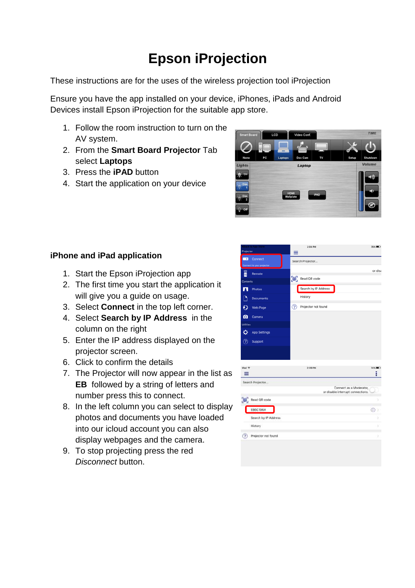## **Epson iProjection**

These instructions are for the uses of the wireless projection tool iProjection

Ensure you have the app installed on your device, iPhones, iPads and Android Devices install Epson iProjection for the suitable app store.

- 1. Follow the room instruction to turn on the AV system.
- 2. From the **Smart Board Projector** Tab select **Laptops**
- 3. Press the **iPAD** button
- 4. Start the application on your device



## **iPhone and iPad application**

- 1. Start the Epson iProjection app
- 2. The first time you start the application it will give you a guide on usage.
- 3. Select **Connect** in the top left corner.
- 4. Select **Search by IP Address** in the column on the right
- 5. Enter the IP address displayed on the projector screen.
- 6. Click to confirm the details
- 7. The Projector will now appear in the list as **EB** followed by a string of letters and number press this to connect.
- 8. In the left column you can select to display photos and documents you have loaded into our icloud account you can also display webpages and the camera.
- 9. To stop projecting press the red Disconnect button.